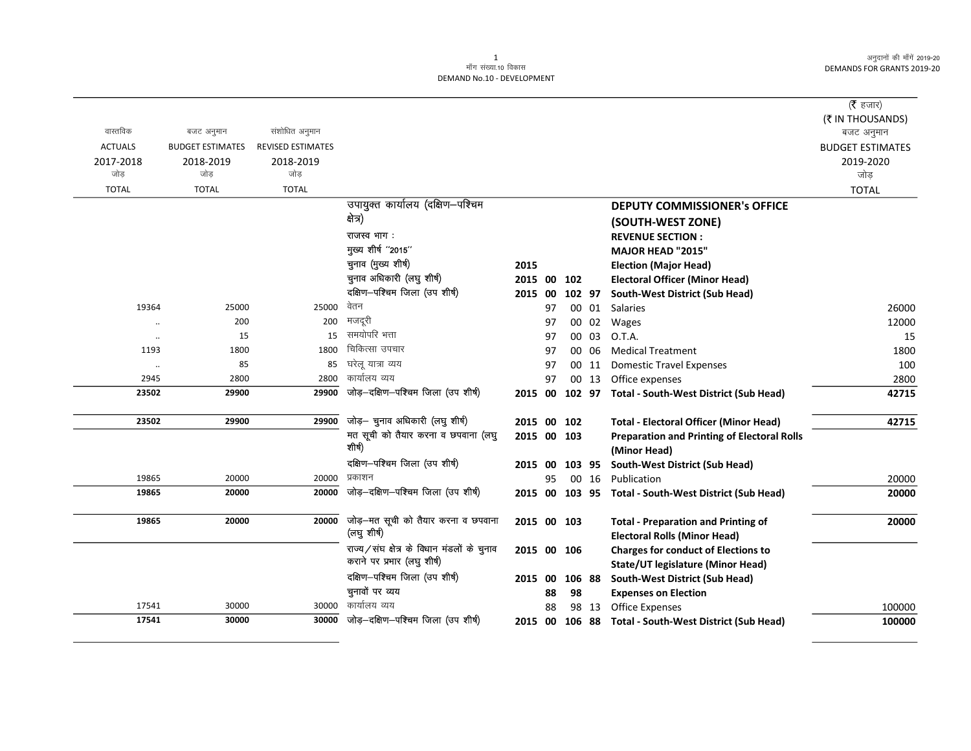|                |                         |                          |                                                                           |                |    |        |       |                                                                                 | ( $\bar{\tau}$ हजार)           |
|----------------|-------------------------|--------------------------|---------------------------------------------------------------------------|----------------|----|--------|-------|---------------------------------------------------------------------------------|--------------------------------|
| वास्तविक       | बजट अनुमान              | संशोधित अनुमान           |                                                                           |                |    |        |       |                                                                                 | (₹ IN THOUSANDS)<br>बजट अनुमान |
| <b>ACTUALS</b> | <b>BUDGET ESTIMATES</b> | <b>REVISED ESTIMATES</b> |                                                                           |                |    |        |       |                                                                                 | <b>BUDGET ESTIMATES</b>        |
| 2017-2018      | 2018-2019               | 2018-2019                |                                                                           |                |    |        |       |                                                                                 | 2019-2020                      |
| जोड़           | जोड़                    | जोड़                     |                                                                           |                |    |        |       |                                                                                 | जोड                            |
| <b>TOTAL</b>   | <b>TOTAL</b>            | <b>TOTAL</b>             |                                                                           |                |    |        |       |                                                                                 | <b>TOTAL</b>                   |
|                |                         |                          | उपायुक्त कार्यालय (दक्षिण-पश्चिम                                          |                |    |        |       | <b>DEPUTY COMMISSIONER's OFFICE</b>                                             |                                |
|                |                         |                          | क्षेत्र)                                                                  |                |    |        |       | (SOUTH-WEST ZONE)                                                               |                                |
|                |                         |                          | राजस्व भाग:                                                               |                |    |        |       | <b>REVENUE SECTION:</b>                                                         |                                |
|                |                         |                          | मुख्य शीर्ष "2015"                                                        |                |    |        |       | MAJOR HEAD "2015"                                                               |                                |
|                |                         |                          | चुनाव (मुख्य शीर्ष)                                                       | 2015           |    |        |       | <b>Election (Major Head)</b>                                                    |                                |
|                |                         |                          | चुनाव अधिकारी (लघु शीर्ष)                                                 | 2015 00        |    | 102    |       | <b>Electoral Officer (Minor Head)</b>                                           |                                |
|                |                         |                          | दक्षिण-पश्चिम जिला (उप शीर्ष)                                             | 2015 00        |    | 102 97 |       | South-West District (Sub Head)                                                  |                                |
| 19364          | 25000                   | 25000                    | वेतन                                                                      |                | 97 |        | 00 01 | <b>Salaries</b>                                                                 | 26000                          |
| $\ddotsc$      | 200                     | 200                      | मजदूरी                                                                    |                | 97 | 00     | 02    | Wages                                                                           | 12000                          |
| $\cdot\cdot$   | 15                      | 15                       | समयोपरि भत्ता                                                             |                | 97 | 00     | 03    | O.T.A.                                                                          | 15                             |
| 1193           | 1800                    | 1800                     | चिकित्सा उपचार                                                            |                | 97 | 00     | 06    | <b>Medical Treatment</b>                                                        | 1800                           |
| $\ddotsc$      | 85                      | 85                       | घरेलू यात्रा व्यय                                                         |                | 97 | 00     | 11    | <b>Domestic Travel Expenses</b>                                                 | 100                            |
| 2945           | 2800                    | 2800                     | कार्यालय व्यय                                                             |                | 97 | 00     | 13    | Office expenses                                                                 | 2800                           |
| 23502          | 29900                   | 29900                    | जोड़-दक्षिण-पश्चिम जिला (उप शीर्ष)                                        | 2015 00        |    |        |       | 102 97 Total - South-West District (Sub Head)                                   | 42715                          |
| 23502          | 29900                   | 29900                    | जोड़- चुनाव अधिकारी (लघु शीर्ष)                                           | 2015 00 102    |    |        |       | <b>Total - Electoral Officer (Minor Head)</b>                                   | 42715                          |
|                |                         |                          | मत सूची को तैयार करना व छपवाना (लघु                                       | 2015 00 103    |    |        |       | <b>Preparation and Printing of Electoral Rolls</b>                              |                                |
|                |                         |                          | शोषी                                                                      |                |    |        |       | (Minor Head)                                                                    |                                |
|                |                         |                          | दक्षिण-पश्चिम जिला (उप शीर्ष)                                             | 2015 00 103 95 |    |        |       | South-West District (Sub Head)                                                  |                                |
| 19865          | 20000                   | 20000                    | प्रकाशन                                                                   |                | 95 |        | 00 16 | Publication                                                                     | 20000                          |
| 19865          | 20000                   | 20000                    | जोड़-दक्षिण-पश्चिम जिला (उप शीर्ष)                                        | 2015           |    |        |       | 00 103 95 Total - South-West District (Sub Head)                                | 20000                          |
| 19865          | 20000                   | 20000                    | जोड़-मत सूची को तैयार करना व छपवाना                                       | 2015 00 103    |    |        |       | <b>Total - Preparation and Printing of</b>                                      | 20000                          |
|                |                         |                          | (लघु शीर्ष)                                                               |                |    |        |       | <b>Electoral Rolls (Minor Head)</b>                                             |                                |
|                |                         |                          | राज्य/संघ क्षेत्र के विधान मंडलों के चुनाव<br>कराने पर प्रभार (लघु शीर्ष) | 2015 00 106    |    |        |       | <b>Charges for conduct of Elections to</b><br>State/UT legislature (Minor Head) |                                |
|                |                         |                          | दक्षिण-पश्चिम जिला (उप शीर्ष)                                             | 2015 00        |    | 106 88 |       | South-West District (Sub Head)                                                  |                                |
|                |                         |                          | चुनावों पर व्यय                                                           |                | 88 | 98     |       | <b>Expenses on Election</b>                                                     |                                |
| 17541          | 30000                   | 30000                    | कार्यालय व्यय                                                             |                | 88 |        | 98 13 | <b>Office Expenses</b>                                                          | 100000                         |
| 17541          | 30000                   | 30000                    | जोड़-दक्षिण-पश्चिम जिला (उप शीर्ष)                                        | 2015 00 106 88 |    |        |       | Total - South-West District (Sub Head)                                          | 100000                         |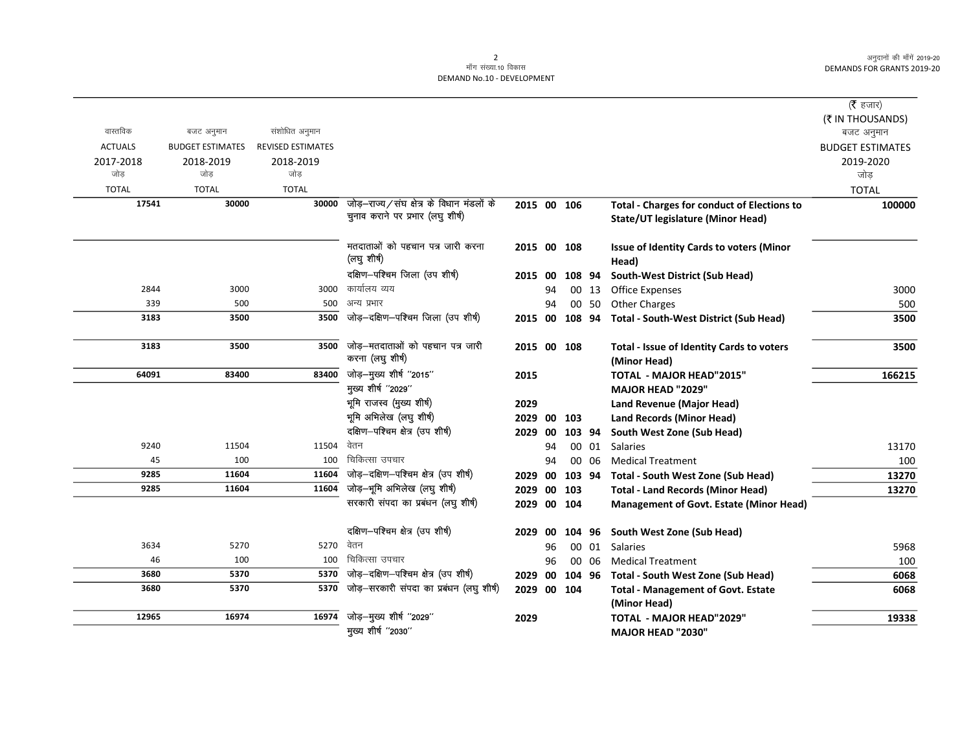|                |                         |                   |                                                                                |             |    |                |       |                                                           | ( $\bar{\tau}$ हजार)    |
|----------------|-------------------------|-------------------|--------------------------------------------------------------------------------|-------------|----|----------------|-------|-----------------------------------------------------------|-------------------------|
|                |                         |                   |                                                                                |             |    |                |       |                                                           | (₹ IN THOUSANDS)        |
| वास्तविक       | बजट अनुमान              | संशोधित अनुमान    |                                                                                |             |    |                |       |                                                           | बजट अनुमान              |
| <b>ACTUALS</b> | <b>BUDGET ESTIMATES</b> | REVISED ESTIMATES |                                                                                |             |    |                |       |                                                           | <b>BUDGET ESTIMATES</b> |
| 2017-2018      | 2018-2019               | 2018-2019         |                                                                                |             |    |                |       |                                                           | 2019-2020               |
| जोड            | जोड                     | जोड़              |                                                                                |             |    |                |       |                                                           | जोड                     |
| <b>TOTAL</b>   | <b>TOTAL</b>            | <b>TOTAL</b>      |                                                                                |             |    |                |       |                                                           | <b>TOTAL</b>            |
| 17541          | 30000                   | 30000             | जोड़-राज्य/संघ क्षेत्र के विधान मंडलों के<br>चुनाव कराने पर प्रभार (लघु शीर्ष) | 2015 00 106 |    |                |       | <b>Total - Charges for conduct of Elections to</b>        | 100000                  |
|                |                         |                   |                                                                                |             |    |                |       | State/UT legislature (Minor Head)                         |                         |
|                |                         |                   | मतदाताओं को पहचान पत्र जारी करना                                               | 2015 00 108 |    |                |       | <b>Issue of Identity Cards to voters (Minor</b>           |                         |
|                |                         |                   | (लघु शीर्ष)                                                                    |             |    |                |       | Head)                                                     |                         |
|                |                         |                   | दक्षिण-पश्चिम जिला (उप शीर्ष)                                                  |             |    | 2015 00 108 94 |       | South-West District (Sub Head)                            |                         |
| 2844           | 3000                    | 3000              | कार्यालय व्यय                                                                  |             | 94 |                | 00 13 | Office Expenses                                           | 3000                    |
| 339            | 500                     | 500               | अन्य प्रभार                                                                    |             | 94 |                |       | 00 50 Other Charges                                       | 500                     |
| 3183           | 3500                    | 3500              | जोड़-दक्षिण-पश्चिम जिला (उप शीर्ष)                                             |             |    |                |       | 2015 00 108 94 Total - South-West District (Sub Head)     | 3500                    |
| 3183           | 3500                    | 3500              | जोड़-मतदाताओं को पहचान पत्र जारी<br>करना (लघु शीर्ष)                           |             |    | 2015 00 108    |       | Total - Issue of Identity Cards to voters<br>(Minor Head) | 3500                    |
| 64091          | 83400                   | 83400             | जोड़-मुख्य शीर्ष "2015"                                                        | 2015        |    |                |       | TOTAL - MAJOR HEAD"2015"                                  | 166215                  |
|                |                         |                   | मुख्य शीर्ष "2029"                                                             |             |    |                |       | <b>MAJOR HEAD "2029"</b>                                  |                         |
|                |                         |                   | भूमि राजस्व (मुख्य शीर्ष)                                                      | 2029        |    |                |       | <b>Land Revenue (Major Head)</b>                          |                         |
|                |                         |                   | भूमि अभिलेख (लघु शीर्ष)                                                        | 2029        |    | 00 103         |       | <b>Land Records (Minor Head)</b>                          |                         |
|                |                         |                   | दक्षिण-पश्चिम क्षेत्र (उप शीर्ष)                                               | 2029        | 00 | 103 94         |       | South West Zone (Sub Head)                                |                         |
| 9240           | 11504                   | 11504             | वेतन                                                                           |             | 94 |                | 00 01 | <b>Salaries</b>                                           | 13170                   |
| 45             | 100                     | 100               | चिकित्सा उपचार                                                                 |             | 94 |                | 00 06 | <b>Medical Treatment</b>                                  | 100                     |
| 9285           | 11604                   | 11604             | जोड़-दक्षिण-पश्चिम क्षेत्र (उप शीर्ष)                                          | 2029 00     |    | 103 94         |       | Total - South West Zone (Sub Head)                        | 13270                   |
| 9285           | 11604                   | 11604             | जोड़-भूमि अभिलेख (लघु शीर्ष)                                                   | 2029 00 103 |    |                |       | <b>Total - Land Records (Minor Head)</b>                  | 13270                   |
|                |                         |                   | सरकारी संपदा का प्रबंधन (लघु शीर्ष)                                            | 2029 00 104 |    |                |       | <b>Management of Govt. Estate (Minor Head)</b>            |                         |
|                |                         |                   | दक्षिण-पश्चिम क्षेत्र (उप शीर्ष)                                               | 2029        | 00 |                |       | 104 96 South West Zone (Sub Head)                         |                         |
| 3634           | 5270                    | 5270              | वेतन                                                                           |             | 96 |                |       | 00 01 Salaries                                            | 5968                    |
| 46             | 100                     | 100               | चिकित्सा उपचार                                                                 |             | 96 |                | 00 06 | <b>Medical Treatment</b>                                  | 100                     |
| 3680           | 5370                    | 5370              | जोड़-दक्षिण-पश्चिम क्षेत्र (उप शीर्ष)                                          | 2029        | 00 | 104 96         |       | Total - South West Zone (Sub Head)                        | 6068                    |
| 3680           | 5370                    | 5370              | जोड़-सरकारी संपदा का प्रबंधन (लघु शीर्ष)                                       | 2029 00 104 |    |                |       | <b>Total - Management of Govt. Estate</b>                 | 6068                    |
|                |                         |                   | जोड़-मुख्य शीर्ष "2029"                                                        |             |    |                |       | (Minor Head)                                              |                         |
| 12965          | 16974                   | 16974             | मुख्य शीर्ष "2030"                                                             | 2029        |    |                |       | <b>TOTAL - MAJOR HEAD"2029"</b>                           | 19338                   |
|                |                         |                   |                                                                                |             |    |                |       | MAJOR HEAD "2030"                                         |                         |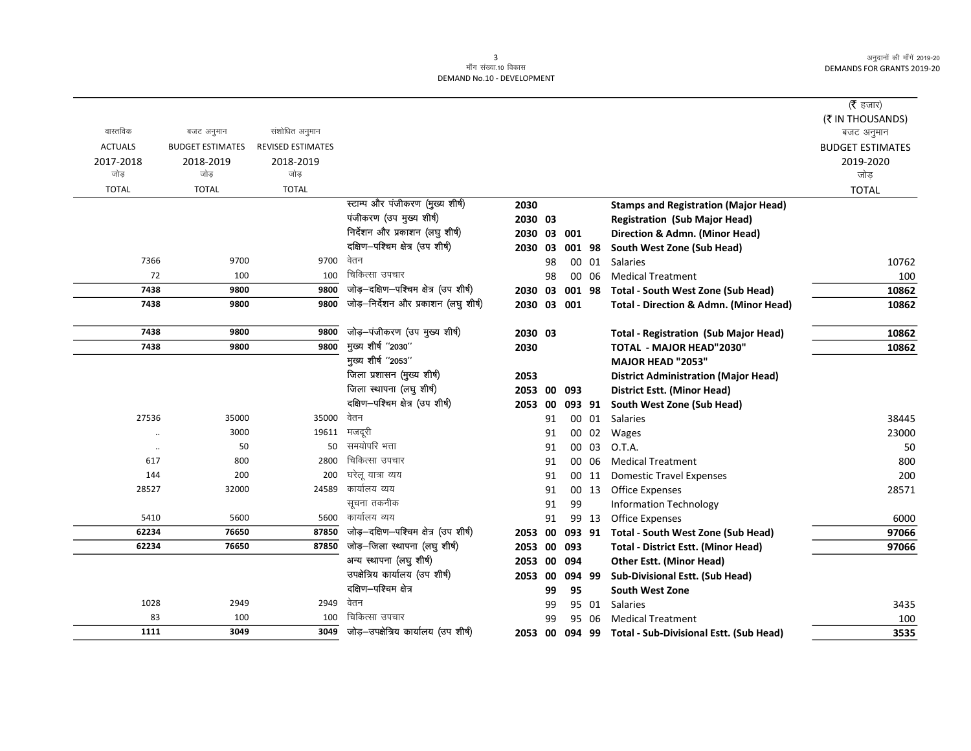|                |                         |                          |                                       |             |    |        |        |                                                        | (रै हजार)               |
|----------------|-------------------------|--------------------------|---------------------------------------|-------------|----|--------|--------|--------------------------------------------------------|-------------------------|
|                |                         |                          |                                       |             |    |        |        |                                                        | (₹ IN THOUSANDS)        |
| वास्तविक       | बजट अनुमान              | संशोधित अनुमान           |                                       |             |    |        |        |                                                        | बजट अनुमान              |
| <b>ACTUALS</b> | <b>BUDGET ESTIMATES</b> | <b>REVISED ESTIMATES</b> |                                       |             |    |        |        |                                                        | <b>BUDGET ESTIMATES</b> |
| 2017-2018      | 2018-2019               | 2018-2019                |                                       |             |    |        |        |                                                        | 2019-2020               |
| जोड            | जोड                     | जोड                      |                                       |             |    |        |        |                                                        | जोड़                    |
| <b>TOTAL</b>   | <b>TOTAL</b>            | <b>TOTAL</b>             |                                       |             |    |        |        |                                                        | <b>TOTAL</b>            |
|                |                         |                          | स्टाम्प और पंजीकरण (मुख्य शीर्ष)      | 2030        |    |        |        | <b>Stamps and Registration (Major Head)</b>            |                         |
|                |                         |                          | पंजीकरण (उप मुख्य शीर्ष)              | 2030 03     |    |        |        | <b>Registration (Sub Major Head)</b>                   |                         |
|                |                         |                          | निर्देशन और प्रकाशन (लघु शीर्ष)       | 2030 03 001 |    |        |        | Direction & Admn. (Minor Head)                         |                         |
|                |                         |                          | दक्षिण-पश्चिम क्षेत्र (उप शीर्ष)      | 2030 03     |    |        | 001 98 | South West Zone (Sub Head)                             |                         |
| 7366           | 9700                    | 9700                     | वेतन                                  |             | 98 |        | 00 01  | Salaries                                               | 10762                   |
| 72             | 100                     | 100                      | चिकित्सा उपचार                        |             | 98 |        | 00 06  | <b>Medical Treatment</b>                               | 100                     |
| 7438           | 9800                    | 9800                     | जोड़-दक्षिण-पश्चिम क्षेत्र (उप शीर्ष) | 2030 03     |    |        | 001 98 | Total - South West Zone (Sub Head)                     | 10862                   |
| 7438           | 9800                    | 9800                     | जोड़-निर्देशन और प्रकाशन (लघु शीर्ष)  | 2030 03 001 |    |        |        | Total - Direction & Admn. (Minor Head)                 | 10862                   |
| 7438           | 9800                    | 9800                     | जोड़-पंजीकरण (उप मुख्य शीर्ष)         | 2030 03     |    |        |        | <b>Total - Registration (Sub Major Head)</b>           | 10862                   |
| 7438           | 9800                    | 9800                     | मुख्य शीर्ष "2030"                    | 2030        |    |        |        | <b>TOTAL - MAJOR HEAD"2030"</b>                        | 10862                   |
|                |                         |                          | मुख्य शीर्ष "2053"                    |             |    |        |        | <b>MAJOR HEAD "2053"</b>                               |                         |
|                |                         |                          | जिला प्रशासन (मुख्य शीर्ष)            | 2053        |    |        |        | <b>District Administration (Major Head)</b>            |                         |
|                |                         |                          | जिला स्थापना (लघु शीर्ष)              | 2053 00 093 |    |        |        | <b>District Estt. (Minor Head)</b>                     |                         |
|                |                         |                          | दक्षिण-पश्चिम क्षेत्र (उप शीर्ष)      | 2053 00     |    | 093 91 |        | South West Zone (Sub Head)                             |                         |
| 27536          | 35000                   | 35000                    | वेतन                                  |             | 91 |        | 00 01  | Salaries                                               | 38445                   |
|                | 3000                    | 19611                    | मजदूरी                                |             | 91 |        | 00 02  | Wages                                                  | 23000                   |
| $\ddotsc$      | 50                      | 50                       | समयोपरि भत्ता                         |             | 91 |        | 00 03  | O.T.A.                                                 | 50                      |
| 617            | 800                     | 2800                     | चिकित्सा उपचार                        |             | 91 |        | 00 06  | <b>Medical Treatment</b>                               | 800                     |
| 144            | 200                     | 200                      | घरेलू यात्रा व्यय                     |             | 91 |        | 00 11  | <b>Domestic Travel Expenses</b>                        | 200                     |
| 28527          | 32000                   | 24589                    | कार्यालय व्यय                         |             | 91 |        | 00 13  | <b>Office Expenses</b>                                 | 28571                   |
|                |                         |                          | सूचना तकनीक                           |             | 91 | 99     |        | <b>Information Technology</b>                          |                         |
| 5410           | 5600                    | 5600                     | कार्यालय व्यय                         |             | 91 |        | 99 13  | Office Expenses                                        | 6000                    |
| 62234          | 76650                   | 87850                    | जोड़-दक्षिण-पश्चिम क्षेत्र (उप शीर्ष) | 2053 00     |    | 093 91 |        | Total - South West Zone (Sub Head)                     | 97066                   |
| 62234          | 76650                   | 87850                    | जोड़-जिला स्थापना (लघु शीर्ष)         | 2053 00     |    | 093    |        | <b>Total - District Estt. (Minor Head)</b>             | 97066                   |
|                |                         |                          | अन्य स्थापना (लघु शीर्ष)              | 2053 00 094 |    |        |        | <b>Other Estt. (Minor Head)</b>                        |                         |
|                |                         |                          | उपक्षेत्रिय कार्यालय (उप शीर्ष)       | 2053 00     |    | 094 99 |        | Sub-Divisional Estt. (Sub Head)                        |                         |
|                |                         |                          | दक्षिण-पश्चिम क्षेत्र                 |             | 99 | 95     |        | <b>South West Zone</b>                                 |                         |
| 1028           | 2949                    | 2949                     | वेतन                                  |             | 99 |        | 95 01  | Salaries                                               | 3435                    |
| 83             | 100                     | 100                      | चिकित्सा उपचार                        |             | 99 | 95     | 06     | <b>Medical Treatment</b>                               | 100                     |
| 1111           | 3049                    | 3049                     | जोड़-उपक्षेत्रिय कार्यालय (उप शीर्ष)  |             |    |        |        | 2053 00 094 99 Total - Sub-Divisional Estt. (Sub Head) | 3535                    |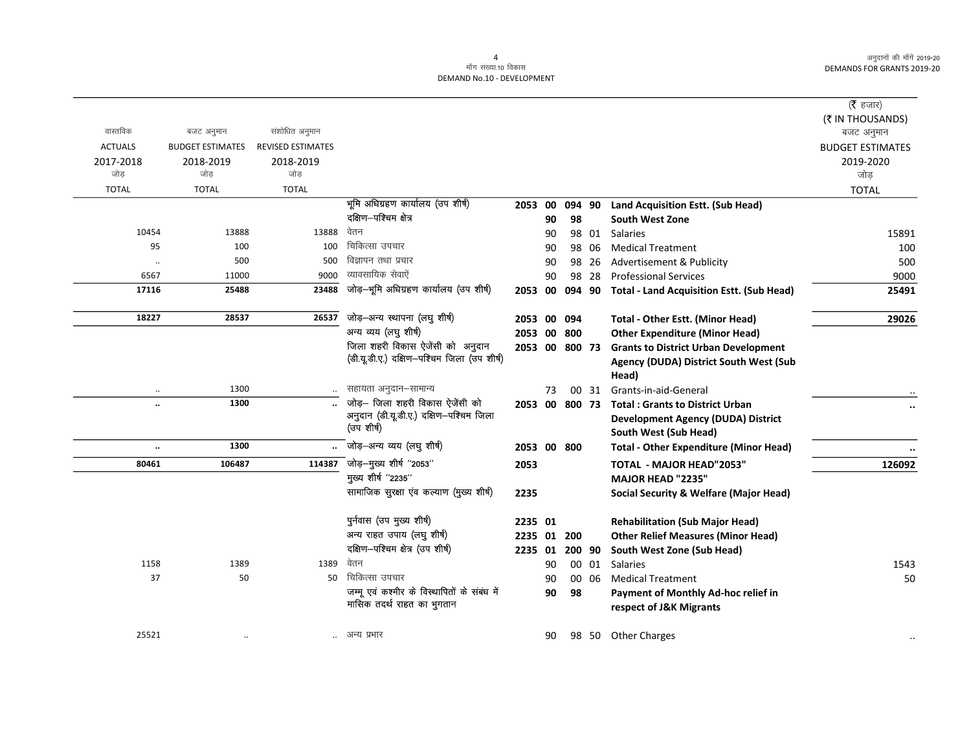|                      |                         |                          |                                              |                |    |        |       |                                                   | ( $\bar{\tau}$ हजार)<br>(₹ IN THOUSANDS) |
|----------------------|-------------------------|--------------------------|----------------------------------------------|----------------|----|--------|-------|---------------------------------------------------|------------------------------------------|
| वास्तविक             | बजट अनुमान              | संशोधित अनुमान           |                                              |                |    |        |       |                                                   | बजट अनुमान                               |
| <b>ACTUALS</b>       | <b>BUDGET ESTIMATES</b> | <b>REVISED ESTIMATES</b> |                                              |                |    |        |       |                                                   | <b>BUDGET ESTIMATES</b>                  |
| 2017-2018            | 2018-2019               | 2018-2019                |                                              |                |    |        |       |                                                   | 2019-2020                                |
| जोड                  | जोड                     | जोड                      |                                              |                |    |        |       |                                                   | जोड़                                     |
| <b>TOTAL</b>         | <b>TOTAL</b>            | <b>TOTAL</b>             |                                              |                |    |        |       |                                                   | <b>TOTAL</b>                             |
|                      |                         |                          | भूमि अधिग्रहण कार्यालय (उप शीर्ष)            | 2053 00        |    | 094 90 |       | Land Acquisition Estt. (Sub Head)                 |                                          |
|                      |                         |                          | दक्षिण-पश्चिम क्षेत्र                        |                | 90 | 98     |       | South West Zone                                   |                                          |
| 10454                | 13888                   | 13888                    | वेतन                                         |                | 90 |        |       | 98 01 Salaries                                    | 15891                                    |
| 95                   | 100                     | 100                      | चिकित्सा उपचार                               |                | 90 | 98     | 06    | <b>Medical Treatment</b>                          | 100                                      |
| $\ddotsc$            | 500                     | 500                      | विज्ञापन तथा प्रचार                          |                | 90 | 98     | 26    | Advertisement & Publicity                         | 500                                      |
| 6567                 | 11000                   | 9000                     | व्यावसायिक सेवाऐं                            |                | 90 |        | 98 28 | <b>Professional Services</b>                      | 9000                                     |
| 17116                | 25488                   | 23488                    | जोड़-भूमि अधिग्रहण कार्यालय (उप शीर्ष)       | 2053 00        |    | 094 90 |       | <b>Total - Land Acquisition Estt. (Sub Head)</b>  | 25491                                    |
| 18227                | 28537                   | 26537                    | जोड़-अन्य स्थापना (लघु शीर्ष)                | 2053 00 094    |    |        |       | Total - Other Estt. (Minor Head)                  | 29026                                    |
|                      |                         |                          | अन्य व्यय (लघु शीर्ष)                        | 2053 00 800    |    |        |       | <b>Other Expenditure (Minor Head)</b>             |                                          |
|                      |                         |                          | जिला शहरी विकास ऐजेंसी को अनुदान             | 2053 00 800 73 |    |        |       | <b>Grants to District Urban Development</b>       |                                          |
|                      |                         |                          | (डी.यू.डी.ए.) दक्षिण-पश्चिम जिला (उप शीर्ष)  |                |    |        |       | Agency (DUDA) District South West (Sub            |                                          |
|                      |                         |                          |                                              |                |    |        |       | Head)                                             |                                          |
| $\ddotsc$            | 1300                    |                          | सहायता अनुदान–सामान्य                        |                | 73 |        | 00 31 | Grants-in-aid-General                             |                                          |
| $\ddot{\phantom{0}}$ | 1300                    |                          | जोड़- जिला शहरी विकास ऐजेंसी को              | 2053 00 800 73 |    |        |       | <b>Total: Grants to District Urban</b>            | $\ddot{\phantom{0}}$                     |
|                      |                         |                          | अनुदान (डी.यू.डी.ए.) दक्षिण-पश्चिम जिला      |                |    |        |       | <b>Development Agency (DUDA) District</b>         |                                          |
|                      |                         |                          | (उप शीर्ष)                                   |                |    |        |       | South West (Sub Head)                             |                                          |
| $\ldots$             | 1300                    |                          | जोड़—अन्य व्यय (लघु शीर्ष)                   | 2053 00 800    |    |        |       | <b>Total - Other Expenditure (Minor Head)</b>     | $\ddot{\phantom{a}}$                     |
| 80461                | 106487                  | 114387                   | जोड़-मुख्य शीर्ष "2053"                      | 2053           |    |        |       | <b>TOTAL - MAJOR HEAD"2053"</b>                   | 126092                                   |
|                      |                         |                          | मुख्य शीर्ष "2235"                           |                |    |        |       | <b>MAJOR HEAD "2235"</b>                          |                                          |
|                      |                         |                          | सामाजिक सुरक्षा एव कल्याण (मुख्य शीर्ष)      | 2235           |    |        |       | <b>Social Security &amp; Welfare (Major Head)</b> |                                          |
|                      |                         |                          | पुर्नवास (उप मुख्य शीर्ष)                    | 2235 01        |    |        |       | <b>Rehabilitation (Sub Major Head)</b>            |                                          |
|                      |                         |                          | अन्य राहत उपाय (लघु शीर्ष)                   | 2235 01        |    | 200    |       | <b>Other Relief Measures (Minor Head)</b>         |                                          |
|                      |                         |                          | दक्षिण-पश्चिम क्षेत्र (उप शीर्ष)             | 2235 01        |    | 200 90 |       | South West Zone (Sub Head)                        |                                          |
| 1158                 | 1389                    | 1389                     | वेतन                                         |                | 90 |        | 00 01 | <b>Salaries</b>                                   | 1543                                     |
| 37                   | 50                      | 50                       | चिकित्सा उपचार                               |                | 90 |        | 00 06 | <b>Medical Treatment</b>                          | 50                                       |
|                      |                         |                          | जम्मू एवं कश्मीर के विस्थापितों के संबंध में |                | 90 | 98     |       | Payment of Monthly Ad-hoc relief in               |                                          |
|                      |                         |                          | मासिक तदर्थ राहत का भुगतान                   |                |    |        |       | respect of J&K Migrants                           |                                          |
| 25521                | $\cdot$ .               |                          | अन्य प्रभार                                  |                | 90 |        |       | 98 50 Other Charges                               |                                          |